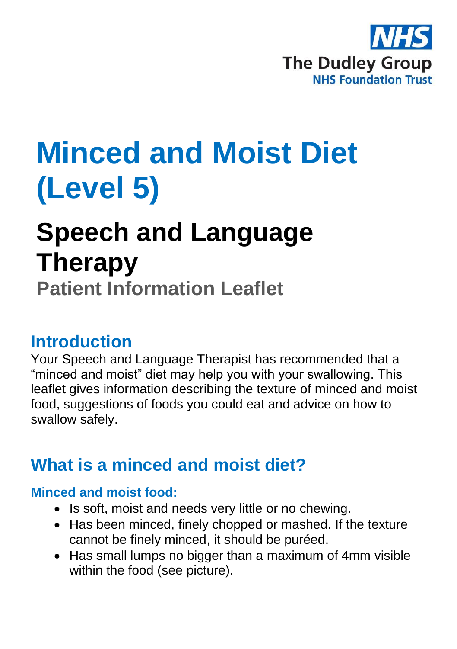

# **Minced and Moist Diet (Level 5)**

# **Speech and Language Therapy**

**Patient Information Leaflet**

### **Introduction**

Your Speech and Language Therapist has recommended that a "minced and moist" diet may help you with your swallowing. This leaflet gives information describing the texture of minced and moist food, suggestions of foods you could eat and advice on how to swallow safely.

## **What is a minced and moist diet?**

#### **Minced and moist food:**

- Is soft, moist and needs very little or no chewing.
- Has been minced, finely chopped or mashed. If the texture cannot be finely minced, it should be puréed.
- Has small lumps no bigger than a maximum of 4mm visible within the food (see picture).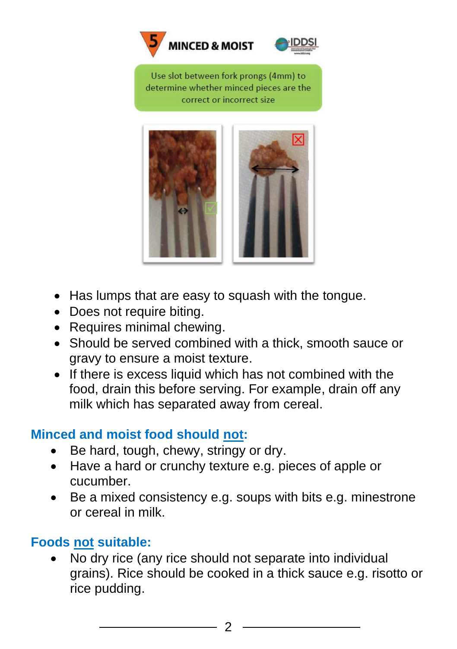



Use slot between fork prongs (4mm) to determine whether minced pieces are the correct or incorrect size



- Has lumps that are easy to squash with the tongue.
- Does not require biting.
- Requires minimal chewing.
- Should be served combined with a thick, smooth sauce or gravy to ensure a moist texture.
- If there is excess liquid which has not combined with the food, drain this before serving. For example, drain off any milk which has separated away from cereal.

#### **Minced and moist food should not:**

- Be hard, tough, chewy, stringy or dry.
- Have a hard or crunchy texture e.g. pieces of apple or cucumber.
- Be a mixed consistency e.g. soups with bits e.g. minestrone or cereal in milk.

#### **Foods not suitable:**

• No dry rice (any rice should not separate into individual grains). Rice should be cooked in a thick sauce e.g. risotto or rice pudding.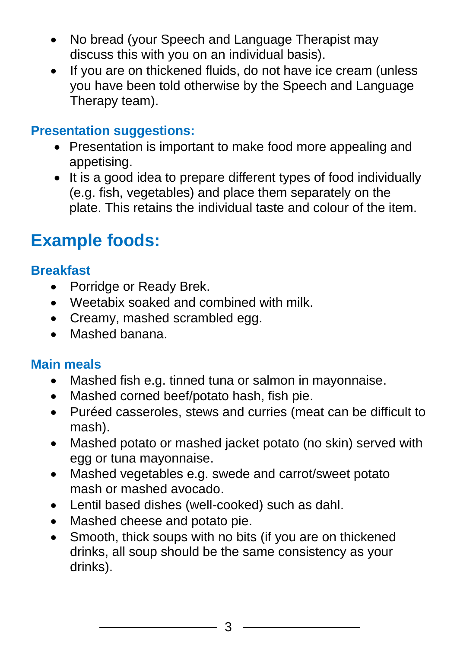- No bread (your Speech and Language Therapist may discuss this with you on an individual basis).
- If you are on thickened fluids, do not have ice cream (unless you have been told otherwise by the Speech and Language Therapy team).

#### **Presentation suggestions:**

- Presentation is important to make food more appealing and appetising.
- It is a good idea to prepare different types of food individually (e.g. fish, vegetables) and place them separately on the plate. This retains the individual taste and colour of the item.

# **Example foods:**

#### **Breakfast**

- Porridge or Ready Brek.
- Weetabix soaked and combined with milk.
- Creamy, mashed scrambled egg.
- Mashed banana.

#### **Main meals**

- Mashed fish e.g. tinned tuna or salmon in mayonnaise.
- Mashed corned beef/potato hash, fish pie.
- Puréed casseroles, stews and curries (meat can be difficult to mash).
- Mashed potato or mashed jacket potato (no skin) served with egg or tuna mayonnaise.
- Mashed vegetables e.g. swede and carrot/sweet potato mash or mashed avocado.
- Lentil based dishes (well-cooked) such as dahl.
- Mashed cheese and potato pie.
- Smooth, thick soups with no bits (if you are on thickened drinks, all soup should be the same consistency as your drinks).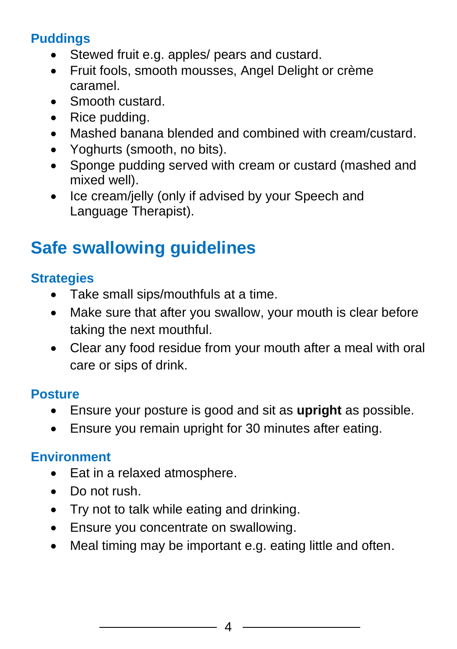#### **Puddings**

- Stewed fruit e.g. apples/ pears and custard.
- Fruit fools, smooth mousses, Angel Delight or crème caramel.
- Smooth custard.
- Rice pudding.
- Mashed banana blended and combined with cream/custard.
- Yoghurts (smooth, no bits).
- Sponge pudding served with cream or custard (mashed and mixed well).
- Ice cream/jelly (only if advised by your Speech and Language Therapist).

# **Safe swallowing guidelines**

#### **Strategies**

- Take small sips/mouthfuls at a time.
- Make sure that after you swallow, your mouth is clear before taking the next mouthful.
- Clear any food residue from your mouth after a meal with oral care or sips of drink.

#### **Posture**

- Ensure your posture is good and sit as **upright** as possible.
- Ensure you remain upright for 30 minutes after eating.

#### **Environment**

- Eat in a relaxed atmosphere.
- Do not rush.
- Try not to talk while eating and drinking.
- Ensure you concentrate on swallowing.
- Meal timing may be important e.g. eating little and often.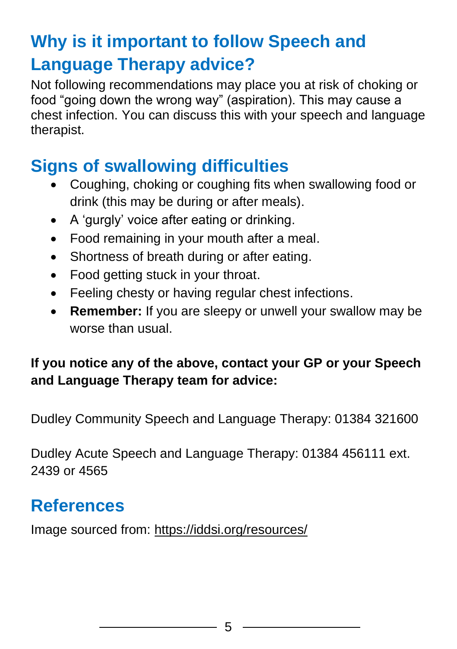# **Why is it important to follow Speech and Language Therapy advice?**

Not following recommendations may place you at risk of choking or food "going down the wrong way" (aspiration). This may cause a chest infection. You can discuss this with your speech and language therapist.

## **Signs of swallowing difficulties**

- Coughing, choking or coughing fits when swallowing food or drink (this may be during or after meals).
- A 'gurgly' voice after eating or drinking.
- Food remaining in your mouth after a meal.
- Shortness of breath during or after eating.
- Food getting stuck in your throat.
- Feeling chesty or having regular chest infections.
- **Remember:** If you are sleepy or unwell your swallow may be worse than usual.

#### **If you notice any of the above, contact your GP or your Speech and Language Therapy team for advice:**

Dudley Community Speech and Language Therapy: 01384 321600

Dudley Acute Speech and Language Therapy: 01384 456111 ext. 2439 or 4565

## **References**

Image sourced from: <https://iddsi.org/resources/>